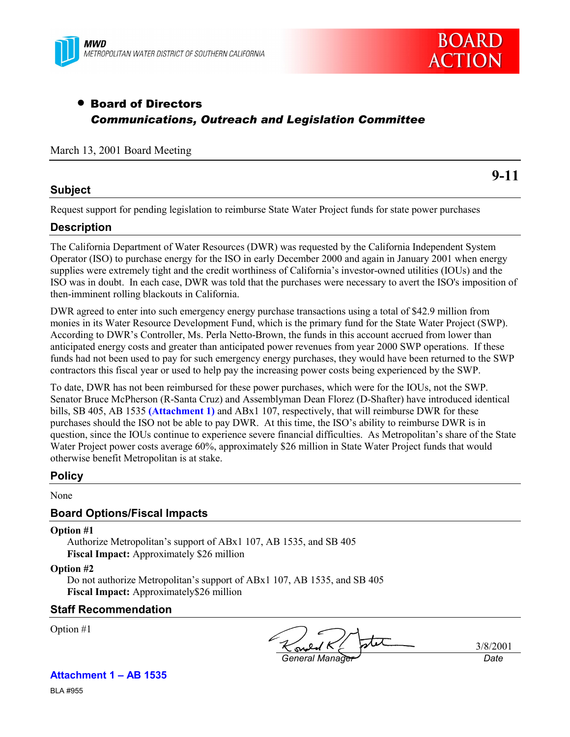



# • Board of Directors *Communications, Outreach and Legislation Committee*

#### March 13, 2001 Board Meeting

# **Subject**

**9-11**

Request support for pending legislation to reimburse State Water Project funds for state power purchases

# **Description**

The California Department of Water Resources (DWR) was requested by the California Independent System Operator (ISO) to purchase energy for the ISO in early December 2000 and again in January 2001 when energy supplies were extremely tight and the credit worthiness of California's investor-owned utilities (IOUs) and the ISO was in doubt. In each case, DWR was told that the purchases were necessary to avert the ISO's imposition of then-imminent rolling blackouts in California.

DWR agreed to enter into such emergency energy purchase transactions using a total of \$42.9 million from monies in its Water Resource Development Fund, which is the primary fund for the State Water Project (SWP). According to DWR's Controller, Ms. Perla Netto-Brown, the funds in this account accrued from lower than anticipated energy costs and greater than anticipated power revenues from year 2000 SWP operations. If these funds had not been used to pay for such emergency energy purchases, they would have been returned to the SWP contractors this fiscal year or used to help pay the increasing power costs being experienced by the SWP.

To date, DWR has not been reimbursed for these power purchases, which were for the IOUs, not the SWP. Senator Bruce McPherson (R-Santa Cruz) and Assemblyman Dean Florez (D-Shafter) have introduced identical bills, SB 405, AB 1535 **(Attachment 1)** and ABx1 107, respectively, that will reimburse DWR for these purchases should the ISO not be able to pay DWR. At this time, the ISO's ability to reimburse DWR is in question, since the IOUs continue to experience severe financial difficulties. As Metropolitan's share of the State Water Project power costs average 60%, approximately \$26 million in State Water Project funds that would otherwise benefit Metropolitan is at stake.

# **Policy**

None

# **Board Options/Fiscal Impacts**

**Option #1**

Authorize Metropolitan's support of ABx1 107, AB 1535, and SB 405 **Fiscal Impact:** Approximately \$26 million

#### **Option #2**

Do not authorize Metropolitan's support of ABx1 107, AB 1535, and SB 405 **Fiscal Impact:** Approximately\$26 million

# **Staff Recommendation**

Option #1

*General Manager Date*

3/8/2001

# **Attachment 1 – AB 1535**

BLA #955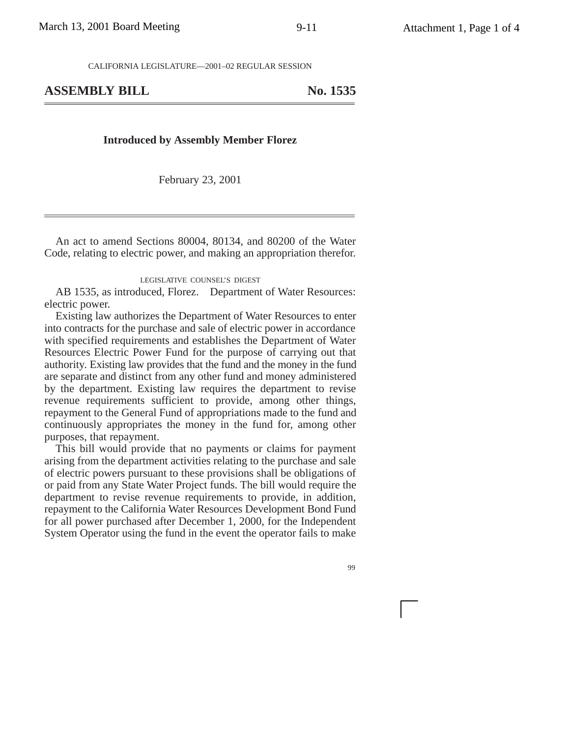CALIFORNIA LEGISLATURE—2001–02 REGULAR SESSION

# ASSEMBLY BILL No. 1535

#### **Introduced by Assembly Member Florez**

February 23, 2001

An act to amend Sections 80004, 80134, and 80200 of the Water Code, relating to electric power, and making an appropriation therefor.

#### LEGISLATIVE COUNSEL'S DIGEST

AB 1535, as introduced, Florez. Department of Water Resources: electric power.

Existing law authorizes the Department of Water Resources to enter into contracts for the purchase and sale of electric power in accordance with specified requirements and establishes the Department of Water Resources Electric Power Fund for the purpose of carrying out that authority. Existing law provides that the fund and the money in the fund are separate and distinct from any other fund and money administered by the department. Existing law requires the department to revise revenue requirements sufficient to provide, among other things, repayment to the General Fund of appropriations made to the fund and continuously appropriates the money in the fund for, among other purposes, that repayment.

This bill would provide that no payments or claims for payment arising from the department activities relating to the purchase and sale of electric powers pursuant to these provisions shall be obligations of or paid from any State Water Project funds. The bill would require the department to revise revenue requirements to provide, in addition, repayment to the California Water Resources Development Bond Fund for all power purchased after December 1, 2000, for the Independent System Operator using the fund in the event the operator fails to make

99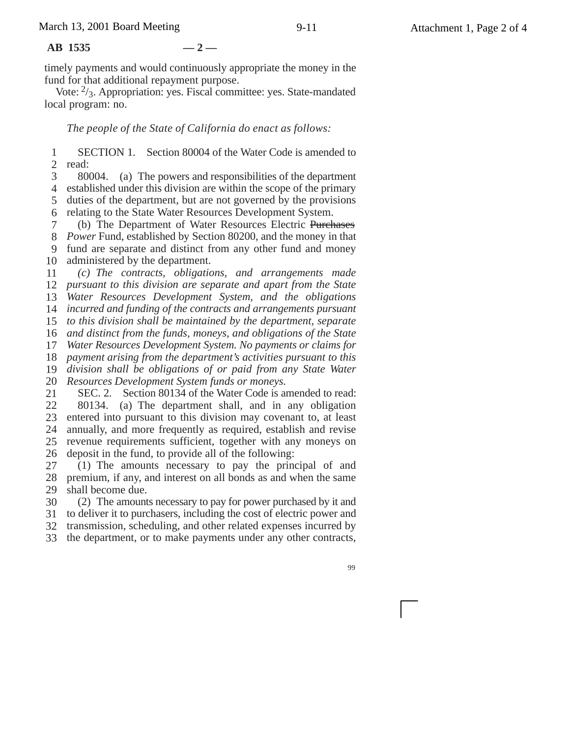#### **AB 1535 — 2 —**

timely payments and would continuously appropriate the money in the fund for that additional repayment purpose.

Vote:  $\frac{2}{3}$ . Appropriation: yes. Fiscal committee: yes. State-mandated local program: no.

#### *The people of the State of California do enact as follows:*

1 2 SECTION 1. Section 80004 of the Water Code is amended to read:

3 4 established under this division are within the scope of the primary 5 6 80004. (a) The powers and responsibilities of the department duties of the department, but are not governed by the provisions relating to the State Water Resources Development System.

7 8 *Power* Fund, established by Section 80200, and the money in that 9 10 (b) The Department of Water Resources Electric Purchases fund are separate and distinct from any other fund and money administered by the department.

11 12 *pursuant to this division are separate and apart from the State* 13 *Water Resources Development System, and the obligations* 14 15 16 *and distinct from the funds, moneys, and obligations of the State* 17 *(c) The contracts, obligations, and arrangements made incurred and funding of the contracts and arrangements pursuant to this division shall be maintained by the department, separate Water Resources Development System. No payments or claims for*

18 19 *payment arising from the department's activities pursuant to this division shall be obligations of or paid from any State Water*

20 *Resources Development System funds or moneys.*

21 22 23 24 25 SEC. 2. Section 80134 of the Water Code is amended to read: 80134. (a) The department shall, and in any obligation entered into pursuant to this division may covenant to, at least annually, and more frequently as required, establish and revise revenue requirements sufficient, together with any moneys on

26 deposit in the fund, to provide all of the following:

27 28 29 (1) The amounts necessary to pay the principal of and premium, if any, and interest on all bonds as and when the same shall become due.

30 (2) The amounts necessary to pay for power purchased by it and

31 to deliver it to purchasers, including the cost of electric power and 32 transmission, scheduling, and other related expenses incurred by

33 the department, or to make payments under any other contracts,

99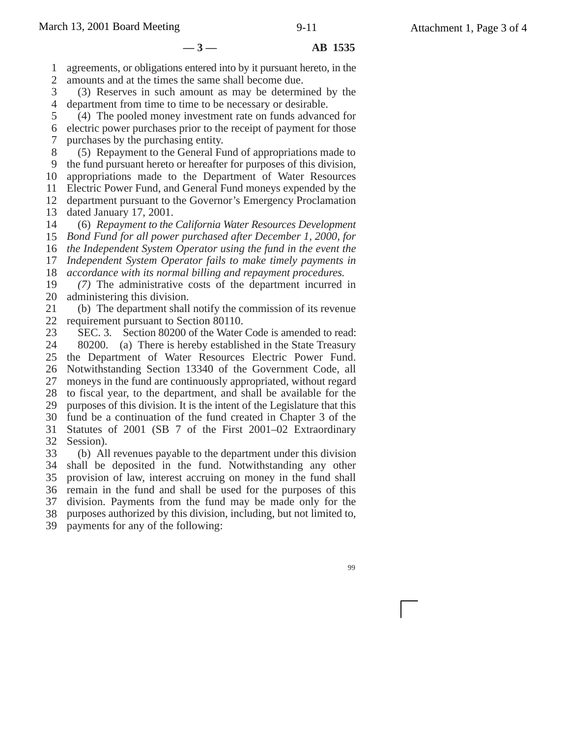#### **—3— AB 1535**

1 agreements, or obligations entered into by it pursuant hereto, in the

2 amounts and at the times the same shall become due.

3 4 (3) Reserves in such amount as may be determined by the department from time to time to be necessary or desirable.

5 6 7 (4) The pooled money investment rate on funds advanced for electric power purchases prior to the receipt of payment for those purchases by the purchasing entity.

8 9 10 11 12 (5) Repayment to the General Fund of appropriations made to the fund pursuant hereto or hereafter for purposes of this division, appropriations made to the Department of Water Resources Electric Power Fund, and General Fund moneys expended by the department pursuant to the Governor's Emergency Proclamation

13 dated January 17, 2001.

14 (6) *Repayment to the California Water Resources Development*

15 *Bond Fund for all power purchased after December 1, 2000, for*

16 *the Independent System Operator using the fund in the event the*

17 18 *Independent System Operator fails to make timely payments in accordance with its normal billing and repayment procedures.*

19 20 *(7)* The administrative costs of the department incurred in administering this division.

21 22 (b) The department shall notify the commission of its revenue requirement pursuant to Section 80110.

23 24 25 26 27 28 29 30 31 32 SEC. 3. Section 80200 of the Water Code is amended to read: 80200. (a) There is hereby established in the State Treasury the Department of Water Resources Electric Power Fund. Notwithstanding Section 13340 of the Government Code, all moneys in the fund are continuously appropriated, without regard to fiscal year, to the department, and shall be available for the purposes of this division. It is the intent of the Legislature that this fund be a continuation of the fund created in Chapter 3 of the Statutes of 2001 (SB 7 of the First 2001–02 Extraordinary Session).

33 34 shall be deposited in the fund. Notwithstanding any other 35 36 37 38 (b) All revenues payable to the department under this division provision of law, interest accruing on money in the fund shall remain in the fund and shall be used for the purposes of this division. Payments from the fund may be made only for the purposes authorized by this division, including, but not limited to,

39 payments for any of the following: